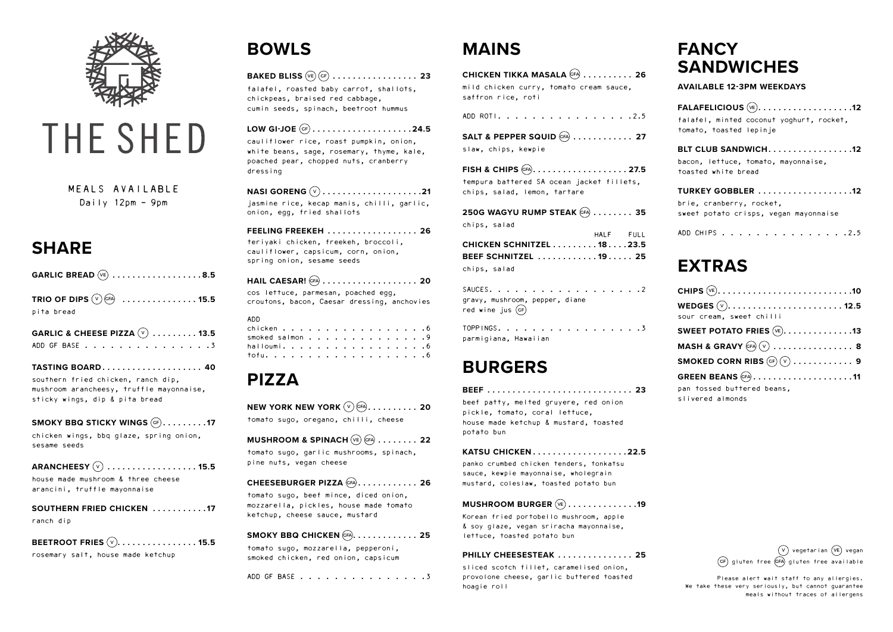

# THE SHED

### **SHARE**

|            | GARLIC BREAD $(\vee_{E})$ 8.5 |
|------------|-------------------------------|
| pita bread | TRIO OF DIPS $(v)$ (cfA) 15.5 |

|  | <b>GARLIC &amp; CHEESE PIZZA</b> $(\vee)$ 13.5 |  |  |  |  |  |  |  |  |
|--|------------------------------------------------|--|--|--|--|--|--|--|--|
|  | ADD GF BASE 3                                  |  |  |  |  |  |  |  |  |

**SMOKY BBQ STICKY WINGS**  $(F)$ **........17** chicken wings, bbq glaze, spring onion, sesame seeds

**TASTING BOARD . . . . . . . . . . . . . . . . . . . . 40** southern fried chicken, ranch dip, mushroom arancheesy, truffle mayonnaise, sticky wings, dip & pita bread

**ARANCHEESY** V **. . . . . . . . . . . . . . . . . . 15.5**

house made mushroom & three cheese arancini, truffle mayonnaise

#### **SOUTHERN FRIED CHICKEN . . . . . . . . . . . 17** ranch dip

#### **BEETROOT FRIES**  $\overline{(v)}$ . . . . . . . . . . . . . . . . **15.5**

rosemary salt, house made ketchup

# **BOWLS**

#### **BAKED BLISS** VE GF **. . . . . . . . . . . . . . . . . 23**

falafel, roasted baby carrot, shallots, chickpeas, braised red cabbage, cumin seeds, spinach, beetroot hummus

**NEW YORK NEW YORK**  $(\sqrt{v})$  (FA)  $\ldots \ldots \ldots$  . 20 tomato sugo, oregano, chilli, cheese

#### **MUSHROOM & SPINACH**  $(\vee_{E})$  (cfA) . . . . . . . . 22

#### **LOW GI-JOE** GF **. . . . . . . . . . . . . . . . . . . 24.5**

cauliflower rice, roast pumpkin, onion, white beans, sage, rosemary, thyme, kale, poached pear, chopped nuts, cranberry dressing

#### **NASI GORENG** V **. . . . . . . . . . . . . . . . . . . 21**

jasmine rice, kecap manis, chilli, garlic, onion, egg, fried shallots

#### **FEELING FREEKEH . . . . . . . . . . . . . . . . . . 26**

teriyaki chicken, freekeh, broccoli, cauliflower, capsicum, corn, onion, spring onion, sesame seeds

#### **HAIL CAESAR!** GFA **. . . . . . . . . . . . . . . . . . . 20**

TOPPINGS. . . . . . . . . . . . . . . . . 3 parmigiana, Hawaiian

cos lettuce, parmesan, poached egg, croutons, bacon, Caesar dressing, anchovies

#### ADD

| smoked salmon 9 |  |  |  |  |  |  |  |
|-----------------|--|--|--|--|--|--|--|
| halloumi. 6     |  |  |  |  |  |  |  |
|                 |  |  |  |  |  |  |  |

# **PIZZA**

tomato sugo, garlic mushrooms, spinach, pine nuts, vegan cheese

#### **CHEESEBURGER PIZZA** GFA **. . . . . . . . . . . . 26**

tomato sugo, beef mince, diced onion, mozzarella, pickles, house made tomato ketchup, cheese sauce, mustard

#### **SMOKY BBQ CHICKEN** GFA **. . . . . . . . . . . . . 25**

tomato sugo, mozzarella, pepperoni, smoked chicken, red onion, capsicum

#### ADD GF BASE . . . . . . . . . . . . . . 3

# **MAINS**

| CHICKEN TIKKA MASALA (FA)  26                                 |
|---------------------------------------------------------------|
| mild chicken curry, tomato cream sauce,<br>saffron rice, roti |
| ADD ROTI. 2.5                                                 |

### **SALT & PEPPER SQUID** GFA **. . . . . . . . . . . . 27**

slaw, chips, kewpie

**FISH & CHIPS** GFA **. . . . . . . . . . . . . . . . . . 27.5** tempura battered SA ocean jacket fillets, chips, salad, lemon, tartare

| 250G WAGYU RUMP STEAK $(FA)$ 35 |           |  |
|---------------------------------|-----------|--|
| chips, salad                    |           |  |
|                                 | HALF FULL |  |
| CHICKEN SCHNITZEL 18 23.5       |           |  |
| BEEF SCHNITZEL 19 25            |           |  |
| chips, salad                    |           |  |

SAUCES. . . . . . . . . . . . . . . . . 2 gravy, mushroom, pepper, diane red wine jus  $(cF)$ 

### **BURGERS**

| BEEF  23                              |  |
|---------------------------------------|--|
| beef patty, melted gruyere, red onion |  |
| pickle, tomato, coral lettuce,        |  |
| house made ketchup & mustard, toasted |  |
| potato bun                            |  |

#### **KATSU CHICKEN . . . . . . . . . . . . . . . . . . 22.5**

panko crumbed chicken tenders, tonkatsu sauce, kewpie mayonnaise, wholegrain mustard, coleslaw, toasted potato bun

#### **MUSHROOM BURGER** VE **. . . . . . . . . . . . . 19**

Korean fried portobello mushroom, apple & soy glaze, vegan sriracha mayonnaise, lettuce, toasted potato bun

#### **PHILLY CHEESESTEAK . . . . . . . . . . . . . . . 25**

sliced scotch fillet, caramelised onion, provolone cheese, garlic buttered toasted hoagie roll

# **FANCY SANDWICHES**

**AVAILABLE 12-3PM WEEKDAYS** 

| FALAFELICIOUS $(w_1, \ldots, \ldots, \ldots, \ldots, 12)$  |
|------------------------------------------------------------|
| falafel, minted coconut yoghurt, rocket,                   |
| tomato, toasted lepinje                                    |
| BLT CLUB SANDWICH12                                        |
| bacon, lettuce, tomato, mayonnaise,<br>toasted white bread |
| TURKEY GOBBLER 12                                          |
| brie, cranberry, rocket,                                   |
| sweet potato crisps, vegan mayonnaise                      |
| ADD CHIPS 2.5                                              |

### **EXTRAS**

| sour cream, sweet chilli                                                      |
|-------------------------------------------------------------------------------|
| SWEET POTATO FRIES $(\overline{\mathsf{ve}}) . \ldots 13$                     |
| MASH & GRAVY $(FA)$ $(V)$ 8                                                   |
| SMOKED CORN RIBS $(\mathfrak{cr})$ $(\mathfrak{v})$ $\dots$ $\dots$ $\dots$ 9 |
| GREEN BEANS $(FA)$ 11                                                         |
| pan tossed buttered beans,<br>slivered almonds                                |

V) vegetarian (VE) vegan GF) gluten free (GFA) gluten free available

MEALS AVAILABLE Daily 12pm - 9pm

> Please alert wait staff to any allergies. We take these very seriously, but cannot guarantee meals without traces of allergens